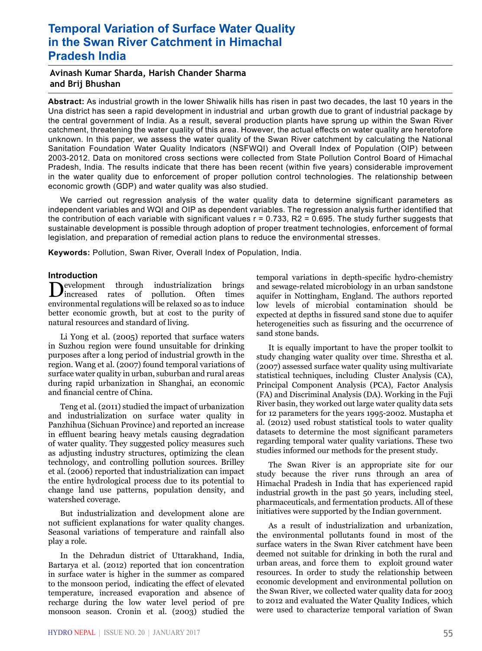# **Temporal Variation of Surface Water Quality in the Swan River Catchment in Himachal Pradesh India**

# **Avinash Kumar Sharda, Harish Chander Sharma and Brij Bhushan**

**Abstract:** As industrial growth in the lower Shiwalik hills has risen in past two decades, the last 10 years in the Una district has seen a rapid development in industrial and urban growth due to grant of industrial package by the central government of India. As a result, several production plants have sprung up within the Swan River catchment, threatening the water quality of this area. However, the actual effects on water quality are heretofore unknown. In this paper, we assess the water quality of the Swan River catchment by calculating the National Sanitation Foundation Water Quality Indicators (NSFWQI) and Overall Index of Population (OIP) between 2003-2012. Data on monitored cross sections were collected from State Pollution Control Board of Himachal Pradesh, India. The results indicate that there has been recent (within five years) considerable improvement in the water quality due to enforcement of proper pollution control technologies. The relationship between economic growth (GDP) and water quality was also studied.

We carried out regression analysis of the water quality data to determine significant parameters as independent variables and WQI and OIP as dependent variables. The regression analysis further identified that the contribution of each variable with significant values  $r = 0.733$ , R2 = 0.695. The study further suggests that sustainable development is possible through adoption of proper treatment technologies, enforcement of formal legislation, and preparation of remedial action plans to reduce the environmental stresses.

**Keywords:** Pollution, Swan River, Overall Index of Population, India.

**Introduction**<br>**Introduction** through industrialization Development through industrialization brings<br>
increased rates of pollution. Often times environmental regulations will be relaxed so as to induce better economic growth, but at cost to the purity of natural resources and standard of living.

Li Yong et al. (2005) reported that surface waters in Suzhou region were found unsuitable for drinking purposes after a long period of industrial growth in the region. Wang et al. (2007) found temporal variations of surface water quality in urban, suburban and rural areas during rapid urbanization in Shanghai, an economic and financial centre of China.

Teng et al. (2011) studied the impact of urbanization and industrialization on surface water quality in Panzhihua (Sichuan Province) and reported an increase in effluent bearing heavy metals causing degradation of water quality. They suggested policy measures such as adjusting industry structures, optimizing the clean technology, and controlling pollution sources. Brilley et al. (2006) reported that industrialization can impact the entire hydrological process due to its potential to change land use patterns, population density, and watershed coverage.

But industrialization and development alone are not sufficient explanations for water quality changes. Seasonal variations of temperature and rainfall also play a role.

In the Dehradun district of Uttarakhand, India, Bartarya et al. (2012) reported that ion concentration in surface water is higher in the summer as compared to the monsoon period, indicating the effect of elevated temperature, increased evaporation and absence of recharge during the low water level period of pre monsoon season. Cronin et al. (2003) studied the

temporal variations in depth-specific hydro-chemistry and sewage-related microbiology in an urban sandstone aquifer in Nottingham, England. The authors reported low levels of microbial contamination should be expected at depths in fissured sand stone due to aquifer heterogeneities such as fissuring and the occurrence of sand stone bands.

It is equally important to have the proper toolkit to study changing water quality over time. Shrestha et al. (2007) assessed surface water quality using multivariate statistical techniques, including Cluster Analysis (CA), Principal Component Analysis (PCA), Factor Analysis (FA) and Discriminal Analysis (DA). Working in the Fuji River basin, they worked out large water quality data sets for 12 parameters for the years 1995-2002. Mustapha et al. (2012) used robust statistical tools to water quality datasets to determine the most significant parameters regarding temporal water quality variations. These two studies informed our methods for the present study.

The Swan River is an appropriate site for our study because the river runs through an area of Himachal Pradesh in India that has experienced rapid industrial growth in the past 50 years, including steel, pharmaceuticals, and fermentation products. All of these initiatives were supported by the Indian government.

As a result of industrialization and urbanization, the environmental pollutants found in most of the surface waters in the Swan River catchment have been deemed not suitable for drinking in both the rural and urban areas, and force them to exploit ground water resources. In order to study the relationship between economic development and environmental pollution on the Swan River, we collected water quality data for 2003 to 2012 and evaluated the Water Quality Indices, which were used to characterize temporal variation of Swan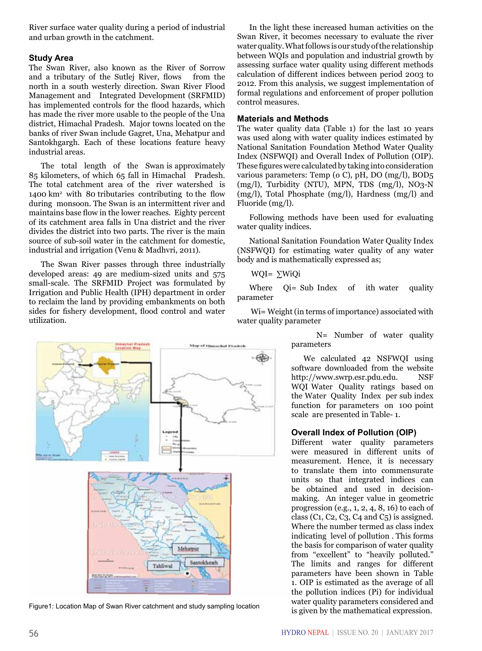River surface water quality during a period of industrial and urban growth in the catchment.

## **Study Area**

The Swan River, also known as the River of Sorrow and a tributary of the Sutlej River, flows north in a south westerly direction. Swan River Flood Management and Integrated Development (SRFMID) has implemented controls for the flood hazards, which has made the river more usable to the people of the Una district, Himachal Pradesh. Major towns located on the banks of river Swan include Gagret, Una, Mehatpur and Santokhgargh. Each of these locations feature heavy industrial areas.

The total length of the Swan is approximately 85 kilometers, of which 65 fall in Himachal Pradesh. The total catchment area of the river watershed is 1400 km2 with 80 tributaries contributing to the flow during monsoon. The Swan is an intermittent river and maintains base flow in the lower reaches. Eighty percent of its catchment area falls in Una district and the river divides the district into two parts. The river is the main source of sub-soil water in the catchment for domestic, industrial and irrigation (Venu & Madhvri, 2011).

The Swan River passes through three industrially developed areas: 49 are medium-sized units and 575 small-scale. The SRFMID Project was formulated by Irrigation and Public Health (IPH) department in order to reclaim the land by providing embankments on both sides for fishery development, flood control and water utilization.

hat Pra<br>un Mus torbut Pra Mehatpu Santokhead Tahliwal

Figure1: Location Map of Swan River catchment and study sampling location is given by the mathematical expression.

In the light these increased human activities on the Swan River, it becomes necessary to evaluate the river water quality. What follows is our study of the relationship between WQIs and population and industrial growth by assessing surface water quality using different methods calculation of different indices between period 2003 to 2012. From this analysis, we suggest implementation of formal regulations and enforcement of proper pollution control measures.

### **Materials and Methods**

The water quality data (Table 1) for the last 10 years was used along with water quality indices estimated by National Sanitation Foundation Method Water Quality Index (NSFWQI) and Overall Index of Pollution (OIP). These figures were calculated by taking into consideration various parameters: Temp (o C), pH, DO (mg/l), BOD5 (mg/l), Turbidity (NTU), MPN, TDS (mg/l), NO3-N (mg/l), Total Phosphate (mg/l), Hardness (mg/l) and Fluoride (mg/l).

Following methods have been used for evaluating water quality indices.

National Sanitation Foundation Water Quality Index (NSFWQI) for estimating water quality of any water body and is mathematically expressed as;

## WQI= ∑WiQi

Where  $Qi= Sub Index$  of ith water quality parameter

 Wi= Weight (in terms of importance) associated with water quality parameter

> N= Number of water quality parameters

> We calculated 42 NSFWQI using software downloaded from the website http://www.swrp.esr.pdu.edu. NSF WQI Water Quality ratings based on the Water Quality Index per sub index function for parameters on 100 point scale are presented in Table- 1.

#### **Overall Index of Pollution (OIP)**

Different water quality parameters were measured in different units of measurement. Hence, it is necessary to translate them into commensurate units so that integrated indices can be obtained and used in decisionmaking. An integer value in geometric progression (e.g., 1, 2, 4, 8, 16) to each of class (C1, C2, C<sub>3</sub>, C<sub>4</sub> and C<sub>5</sub>) is assigned. Where the number termed as class index indicating level of pollution . This forms the basis for comparison of water quality from "excellent" to "heavily polluted." The limits and ranges for different parameters have been shown in Table 1. OIP is estimated as the average of all the pollution indices (Pi) for individual water quality parameters considered and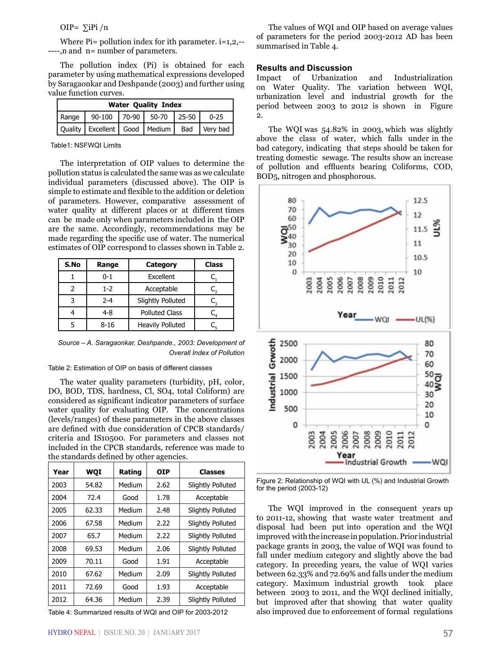OIP= ∑iPi /n

Where  $Pi =$  pollution index for ith parameter,  $i=1,2,-$ ----,n and n= number of parameters.

The pollution index (Pi) is obtained for each parameter by using mathematical expressions developed by Saragaonkar and Deshpande (2003) and further using value function curves.

| <b>Water Quality Index</b> |                                                      |  |  |  |  |  |  |  |  |  |  |
|----------------------------|------------------------------------------------------|--|--|--|--|--|--|--|--|--|--|
|                            | Range   90-100   70-90   50-70   25-50   0-25        |  |  |  |  |  |  |  |  |  |  |
|                            | Quality   Excellent   Good   Medium   Bad   Very bad |  |  |  |  |  |  |  |  |  |  |

Table1: NSFWQI Limits

The interpretation of OIP values to determine the pollution status is calculated the same was as we calculate individual parameters (discussed above). The OIP is simple to estimate and flexible to the addition or deletion of parameters. However, comparative assessment of water quality at different places or at different times can be made only when parameters included in the OIP are the same. Accordingly, recommendations may be made regarding the specific use of water. The numerical estimates of OIP correspond to classes shown in Table 2.

| S.No | Range    | Category                | <b>Class</b> |
|------|----------|-------------------------|--------------|
|      | $0 - 1$  | Excellent               |              |
|      | $1 - 2$  | Acceptable              |              |
| 3    | $2 - 4$  | Slightly Polluted       |              |
|      | 4-8      | <b>Polluted Class</b>   |              |
|      | $8 - 16$ | <b>Heavily Polluted</b> |              |

*Source – A. Saragaonkar, Deshpande., 2003: Development of Overall Index of Pollution*

Table 2: Estimation of OIP on basis of different classes

The water quality parameters (turbidity, pH, color, DO, BOD, TDS, hardness, Cl, SO4, total Coliform) are considered as significant indicator parameters of surface water quality for evaluating OIP. The concentrations (levels/ranges) of these parameters in the above classes are defined with due consideration of CPCB standards/ criteria and IS10500. For parameters and classes not included in the CPCB standards, reference was made to the standards defined by other agencies.

| Year | WQI   | Rating | <b>OIP</b> | <b>Classes</b>           |
|------|-------|--------|------------|--------------------------|
| 2003 | 54.82 | Medium | 2.62       | <b>Slightly Polluted</b> |
| 2004 | 72.4  | Good   | 1.78       | Acceptable               |
| 2005 | 62.33 | Medium | 2.48       | <b>Slightly Polluted</b> |
| 2006 | 67.58 | Medium | 2.22       | <b>Slightly Polluted</b> |
| 2007 | 65.7  | Medium | 2.22       | Slightly Polluted        |
| 2008 | 69.53 | Medium | 2.06       | Slightly Polluted        |
| 2009 | 70.11 | Good   | 1.91       | Acceptable               |
| 2010 | 67.62 | Medium | 2.09       | Slightly Polluted        |
| 2011 | 72.69 | Good   | 1.93       | Acceptable               |
| 2012 | 64.36 | Medium | 2.39       | Slightly Polluted        |

Table 4: Summarized results of WQI and OIP for 2003-2012

The values of WQI and OIP based on average values of parameters for the period 2003-2012 AD has been summarised in Table 4.

#### **Results and Discussion**

Impact of Urbanization and Industrialization on Water Quality. The variation between WQI, urbanization level and industrial growth for the period between 2003 to 2012 is shown in Figure 2.

The WQI was 54.82% in 2003, which was slightly above the class of water, which falls under in the bad category, indicating that steps should be taken for treating domestic sewage. The results show an increase of pollution and effluents bearing Coliforms, COD, BOD5, nitrogen and phosphorous.



Figure 2: Relationship of WQI with UL (%) and Industrial Growth for the period (2003-12)

The WQI improved in the consequent years up to 2011-12, showing that waste water treatment and disposal had been put into operation and the WQI improved with the increase in population. Prior industrial package grants in 2003, the value of WQI was found to fall under medium category and slightly above the bad category. In preceding years, the value of WQI varies between 62.33% and 72.69% and falls under the medium category. Maximum industrial growth took place between 2003 to 2011, and the WQI declined initially, but improved after that showing that water quality also improved due to enforcement of formal regulations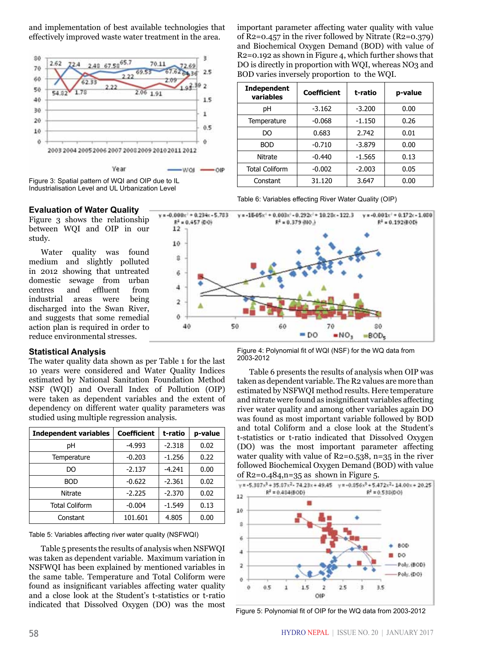and implementation of best available technologies that effectively improved waste water treatment in the area.



50



**Evaluation of Water Quality**

Figure 3 shows the relationship between WQI and OIP in our study.

Water quality was found medium and slightly polluted in 2012 showing that untreated domestic sewage from urban centres and effluent from industrial areas were being discharged into the Swan River, and suggests that some remedial action plan is required in order to reduce environmental stresses.

#### **Statistical Analysis**

The water quality data shown as per Table 1 for the last 10 years were considered and Water Quality Indices estimated by National Sanitation Foundation Method NSF (WQI) and Overall Index of Pollution (OIP) were taken as dependent variables and the extent of dependency on different water quality parameters was studied using multiple regression analysis.

| <b>Independent variables</b> | <b>Coefficient</b> | t-ratio  | p-value |
|------------------------------|--------------------|----------|---------|
| рH                           | $-4.993$           | $-2.318$ | 0.02    |
| Temperature                  | $-0.203$           | $-1.256$ | 0.22    |
| DO                           | $-2.137$           | $-4.241$ | 0.00    |
| <b>BOD</b>                   | $-0.622$           | $-2.361$ | 0.02    |
| Nitrate                      | $-2.225$           | $-2.370$ | 0.02    |
| <b>Total Coliform</b>        | $-0.004$           | $-1.549$ | 0.13    |
| Constant                     | 101.601            | 4.805    | 0.00    |

Table 5: Variables affecting river water quality (NSFWQI)

Table 5 presents the results of analysis when NSFWQI was taken as dependent variable. Maximum variation in NSFWQI has been explained by mentioned variables in the same table. Temperature and Total Coliform were found as insignificant variables affecting water quality and a close look at the Student's t-statistics or t-ratio indicated that Dissolved Oxygen (DO) was the most important parameter affecting water quality with value of  $R2=0.457$  in the river followed by Nitrate  $(R2=0.379)$ and Biochemical Oxygen Demand (BOD) with value of R2=0.192 as shown in Figure 4, which further shows that DO is directly in proportion with WQI, whereas NO3 and BOD varies inversely proportion to the WQI.

| <b>Independent</b><br>variables | Coefficient | t-ratio  | p-value |  |  |
|---------------------------------|-------------|----------|---------|--|--|
| рH                              | $-3.162$    | $-3.200$ | 0.00    |  |  |
| Temperature                     | $-0.068$    | $-1.150$ | 0.26    |  |  |
| DO                              | 0.683       | 2.742    | 0.01    |  |  |
| <b>BOD</b>                      | $-0.710$    | $-3.879$ | 0.00    |  |  |
| Nitrate                         | $-0.440$    | $-1.565$ | 0.13    |  |  |
| <b>Total Coliform</b>           | $-0.002$    | $-2.003$ | 0.05    |  |  |
| Constant                        | 31.120      | 3.647    | 0.00    |  |  |



 $=$  DO

60

Table 6: Variables effecting River Water Quality (OIP)



70

•NO,

80

 $BOD<sub>e</sub>$ 

Table 6 presents the results of analysis when OIP was taken as dependent variable. The R2 values are more than estimated by NSFWQI method results. Here temperature and nitrate were found as insignificant variables affecting river water quality and among other variables again DO was found as most important variable followed by BOD and total Coliform and a close look at the Student's t-statistics or t-ratio indicated that Dissolved Oxygen (DO) was the most important parameter affecting water quality with value of R2=0.538, n=35 in the river followed Biochemical Oxygen Demand (BOD) with value of  $R_2 = 0.484$ , n=35 as shown in Figure 5.



Figure 5: Polynomial fit of OIP for the WQ data from 2003-2012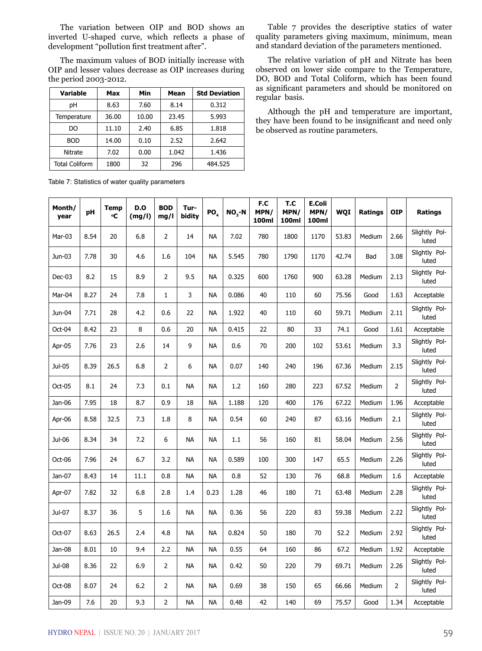The variation between OIP and BOD shows an inverted U-shaped curve, which reflects a phase of development "pollution first treatment after".

The maximum values of BOD initially increase with OIP and lesser values decrease as OIP increases during the period 2003-2012.

| <b>Variable</b> | Max   | Min   | Mean  | <b>Std Deviation</b> |
|-----------------|-------|-------|-------|----------------------|
| рH              | 8.63  | 7.60  | 8.14  | 0.312                |
| Temperature     | 36.00 | 10.00 | 23.45 | 5.993                |
| DO.             | 11.10 | 2.40  | 6.85  | 1.818                |
| <b>BOD</b>      | 14.00 | 0.10  | 2.52  | 2.642                |
| Nitrate         | 7.02  | 0.00  | 1.042 | 1.436                |
| Total Coliform  | 1800  | 32    | 296   | 484.525              |

Table 7 provides the descriptive statics of water quality parameters giving maximum, minimum, mean and standard deviation of the parameters mentioned.

The relative variation of pH and Nitrate has been observed on lower side compare to the Temperature, DO, BOD and Total Coliform, which has been found as significant parameters and should be monitored on regular basis.

Although the pH and temperature are important, they have been found to be insignificant and need only be observed as routine parameters.

Table 7: Statistics of water quality parameters

| Month/<br>year | pH   | <b>Temp</b><br>℃ | <b>D.O</b><br>(mg/l) | <b>BOD</b><br>mg/l | Tur-<br>bidity | PO <sub>4</sub> | $NO3-N$ | F.C<br>MPN/<br>100ml | T.C<br>MPN/<br>100ml | E.Coli<br>MPN/<br>100ml | WQI   | <b>Ratings</b> | <b>OIP</b>     | Ratings                |
|----------------|------|------------------|----------------------|--------------------|----------------|-----------------|---------|----------------------|----------------------|-------------------------|-------|----------------|----------------|------------------------|
| Mar-03         | 8.54 | 20               | 6.8                  | $\overline{2}$     | 14             | <b>NA</b>       | 7.02    | 780                  | 1800                 | 1170                    | 53.83 | Medium         | 2.66           | Slightly Pol-<br>luted |
| Jun-03         | 7.78 | 30               | 4.6                  | 1.6                | 104            | <b>NA</b>       | 5.545   | 780                  | 1790                 | 1170                    | 42.74 | Bad            | 3.08           | Slightly Pol-<br>luted |
| $Dec-03$       | 8.2  | 15               | 8.9                  | 2                  | 9.5            | <b>NA</b>       | 0.325   | 600                  | 1760                 | 900                     | 63.28 | Medium         | 2.13           | Slightly Pol-<br>luted |
| Mar-04         | 8.27 | 24               | 7.8                  | $\mathbf{1}$       | $\mathbf{3}$   | <b>NA</b>       | 0.086   | 40                   | 110                  | 60                      | 75.56 | Good           | 1.63           | Acceptable             |
| Jun-04         | 7.71 | 28               | 4.2                  | 0.6                | 22             | <b>NA</b>       | 1.922   | 40                   | 110                  | 60                      | 59.71 | Medium         | 2.11           | Slightly Pol-<br>luted |
| Oct-04         | 8.42 | 23               | 8                    | 0.6                | 20             | <b>NA</b>       | 0.415   | 22                   | 80                   | 33                      | 74.1  | Good           | 1.61           | Acceptable             |
| Apr-05         | 7.76 | 23               | 2.6                  | 14                 | 9              | <b>NA</b>       | 0.6     | 70                   | 200                  | 102                     | 53.61 | Medium         | 3.3            | Slightly Pol-<br>luted |
| Jul-05         | 8.39 | 26.5             | 6.8                  | 2                  | 6              | <b>NA</b>       | 0.07    | 140                  | 240                  | 196                     | 67.36 | Medium         | 2.15           | Slightly Pol-<br>luted |
| Oct-05         | 8.1  | 24               | 7.3                  | 0.1                | <b>NA</b>      | <b>NA</b>       | 1.2     | 160                  | 280                  | 223                     | 67.52 | Medium         | $\overline{2}$ | Slightly Pol-<br>luted |
| Jan-06         | 7.95 | 18               | 8.7                  | 0.9                | 18             | <b>NA</b>       | 1.188   | 120                  | 400                  | 176                     | 67.22 | Medium         | 1.96           | Acceptable             |
| Apr-06         | 8.58 | 32.5             | 7.3                  | 1.8                | 8              | <b>NA</b>       | 0.54    | 60                   | 240                  | 87                      | 63.16 | Medium         | 2.1            | Slightly Pol-<br>luted |
| Jul-06         | 8.34 | 34               | 7.2                  | 6                  | <b>NA</b>      | <b>NA</b>       | 1.1     | 56                   | 160                  | 81                      | 58.04 | Medium         | 2.56           | Slightly Pol-<br>luted |
| Oct-06         | 7.96 | 24               | 6.7                  | 3.2                | <b>NA</b>      | <b>NA</b>       | 0.589   | 100                  | 300                  | 147                     | 65.5  | Medium         | 2.26           | Slightly Pol-<br>luted |
| Jan-07         | 8.43 | 14               | 11.1                 | 0.8                | <b>NA</b>      | <b>NA</b>       | 0.8     | 52                   | 130                  | 76                      | 68.8  | Medium         | 1.6            | Acceptable             |
| Apr-07         | 7.82 | 32               | 6.8                  | 2.8                | 1.4            | 0.23            | 1.28    | 46                   | 180                  | 71                      | 63.48 | Medium         | 2.28           | Slightly Pol-<br>luted |
| Jul-07         | 8.37 | 36               | 5                    | 1.6                | <b>NA</b>      | <b>NA</b>       | 0.36    | 56                   | 220                  | 83                      | 59.38 | Medium         | 2.22           | Slightly Pol-<br>luted |
| Oct-07         | 8.63 | 26.5             | 2.4                  | 4.8                | <b>NA</b>      | <b>NA</b>       | 0.824   | 50                   | 180                  | 70                      | 52.2  | Medium         | 2.92           | Slightly Pol-<br>luted |
| Jan-08         | 8.01 | 10               | 9.4                  | 2.2                | NA             | <b>NA</b>       | 0.55    | 64                   | 160                  | 86                      | 67.2  | Medium         | 1.92           | Acceptable             |
| Jul-08         | 8.36 | 22               | 6.9                  | $\overline{2}$     | <b>NA</b>      | <b>NA</b>       | 0.42    | 50                   | 220                  | 79                      | 69.71 | Medium         | 2.26           | Slightly Pol-<br>luted |
| Oct-08         | 8.07 | 24               | 6.2                  | $\overline{2}$     | <b>NA</b>      | <b>NA</b>       | 0.69    | 38                   | 150                  | 65                      | 66.66 | Medium         | $\overline{2}$ | Slightly Pol-<br>luted |
| Jan-09         | 7.6  | 20               | 9.3                  | 2                  | <b>NA</b>      | <b>NA</b>       | 0.48    | 42                   | 140                  | 69                      | 75.57 | Good           | 1.34           | Acceptable             |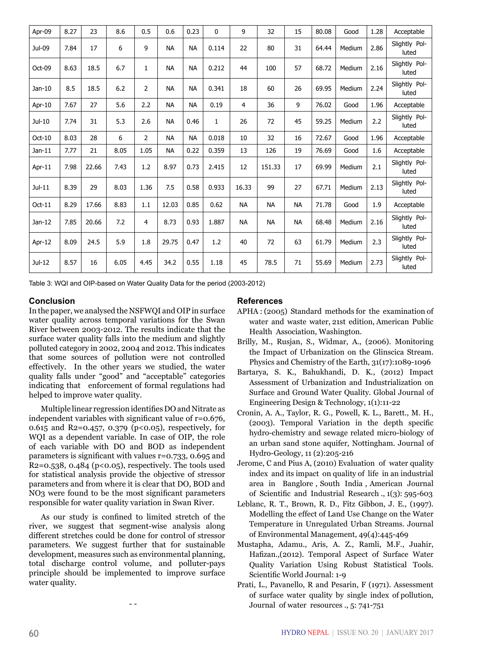| Apr-09   | 8.27 | 23    | 8.6  | 0.5            | 0.6       | 0.23      | $\mathbf{0}$ | 9              | 32        | 15        | 80.08 | Good   | 1.28 | Acceptable             |
|----------|------|-------|------|----------------|-----------|-----------|--------------|----------------|-----------|-----------|-------|--------|------|------------------------|
| Jul-09   | 7.84 | 17    | 6    | 9              | <b>NA</b> | <b>NA</b> | 0.114        | 22             | 80        | 31        | 64.44 | Medium | 2.86 | Slightly Pol-<br>luted |
| Oct-09   | 8.63 | 18.5  | 6.7  | 1              | <b>NA</b> | <b>NA</b> | 0.212        | 44             | 100       | 57        | 68.72 | Medium | 2.16 | Slightly Pol-<br>luted |
| Jan-10   | 8.5  | 18.5  | 6.2  | 2              | <b>NA</b> | <b>NA</b> | 0.341        | 18             | 60        | 26        | 69.95 | Medium | 2.24 | Slightly Pol-<br>luted |
| Apr-10   | 7.67 | 27    | 5.6  | 2.2            | <b>NA</b> | <b>NA</b> | 0.19         | $\overline{4}$ | 36        | 9         | 76.02 | Good   | 1.96 | Acceptable             |
| Jul-10   | 7.74 | 31    | 5.3  | 2.6            | <b>NA</b> | 0.46      | $\mathbf{1}$ | 26             | 72        | 45        | 59.25 | Medium | 2.2  | Slightly Pol-<br>luted |
| Oct-10   | 8.03 | 28    | 6    | $\overline{2}$ | <b>NA</b> | <b>NA</b> | 0.018        | 10             | 32        | 16        | 72.67 | Good   | 1.96 | Acceptable             |
| Jan-11   | 7.77 | 21    | 8.05 | 1.05           | <b>NA</b> | 0.22      | 0.359        | 13             | 126       | 19        | 76.69 | Good   | 1.6  | Acceptable             |
| Apr-11   | 7.98 | 22.66 | 7.43 | 1.2            | 8.97      | 0.73      | 2.415        | 12             | 151.33    | 17        | 69.99 | Medium | 2.1  | Slightly Pol-<br>luted |
| $Jul-11$ | 8.39 | 29    | 8.03 | 1.36           | 7.5       | 0.58      | 0.933        | 16.33          | 99        | 27        | 67.71 | Medium | 2.13 | Slightly Pol-<br>luted |
| $Oct-11$ | 8.29 | 17.66 | 8.83 | 1.1            | 12.03     | 0.85      | 0.62         | <b>NA</b>      | <b>NA</b> | <b>NA</b> | 71.78 | Good   | 1.9  | Acceptable             |
| $Jan-12$ | 7.85 | 20.66 | 7.2  | 4              | 8.73      | 0.93      | 1.887        | <b>NA</b>      | <b>NA</b> | <b>NA</b> | 68.48 | Medium | 2.16 | Slightly Pol-<br>luted |
| Apr-12   | 8.09 | 24.5  | 5.9  | 1.8            | 29.75     | 0.47      | 1.2          | 40             | 72        | 63        | 61.79 | Medium | 2.3  | Slightly Pol-<br>luted |
| $Jul-12$ | 8.57 | 16    | 6.05 | 4.45           | 34.2      | 0.55      | 1.18         | 45             | 78.5      | 71        | 55.69 | Medium | 2.73 | Slightly Pol-<br>luted |

Table 3: WQI and OIP-based on Water Quality Data for the period (2003-2012)

#### **Conclusion**

In the paper, we analysed the NSFWQI and OIP in surface water quality across temporal variations for the Swan River between 2003-2012. The results indicate that the surface water quality falls into the medium and slightly polluted category in 2002, 2004 and 2012. This indicates that some sources of pollution were not controlled effectively. In the other years we studied, the water quality falls under "good" and "acceptable" categories indicating that enforcement of formal regulations had helped to improve water quality.

Multiple linear regression identifies DO and Nitrate as independent variables with significant value of r=0.676, 0.615 and R2=0.457, 0.379 ( $p$ <0.05), respectively, for WQI as a dependent variable. In case of OIP, the role of each variable with DO and BOD as independent parameters is significant with values r=0.733, 0.695 and  $R2=0.538$ , 0.484 (p<0.05), respectively. The tools used for statistical analysis provide the objective of stressor parameters and from where it is clear that DO, BOD and NO3 were found to be the most significant parameters responsible for water quality variation in Swan River.

As our study is confined to limited stretch of the river, we suggest that segment-wise analysis along different stretches could be done for control of stressor parameters. We suggest further that for sustainable development, measures such as environmental planning, total discharge control volume, and polluter-pays principle should be implemented to improve surface water quality.

- -

#### **References**

- APHA : (2005) Standard methods for the examination of water and waste water, 21st edition, American Public Health Association, Washington.
- Brilly, M., Rusjan, S., Widmar, A., (2006). Monitoring the Impact of Urbanization on the Glinscica Stream. Physics and Chemistry of the Earth, 31(17):1089-1096
- Bartarya, S. K., Bahukhandi, D. K., (2012) Impact Assessment of Urbanization and Industrialization on Surface and Ground Water Quality. Global Journal of Engineering Design & Technology, 1(1):11-22
- Cronin, A. A., Taylor, R. G., Powell, K. L., Barett., M. H., (2003). Temporal Variation in the depth specific hydro-chemistry and sewage related micro-biology of an urban sand stone aquifer, Nottingham. Journal of Hydro-Geology, 11 (2):205-216
- Jerome, C and Pius A, (2010) Evaluation of water quality index and its impact on quality of life in an industrial area in Banglore , South India , American Journal of Scientific and Industrial Research ., 1(3): 595-603
- Leblanc, R. T., Brown, R. D., Fitz Gibbon, J. E., (1997). Modelling the effect of Land Use Change on the Water Temperature in Unregulated Urban Streams. Journal of Environmental Management, 49(4):445-469
- Mustapha, Adamu., Aris, A. Z., Ramli, M.F., Juahir, Hafizan.,(2012). Temporal Aspect of Surface Water Quality Variation Using Robust Statistical Tools. Scientific World Journal: 1-9
- Prati, L., Pavanello, R and Pesarin, F (1971). Assessment of surface water quality by single index of pollution, Journal of water resources ., 5: 741-751